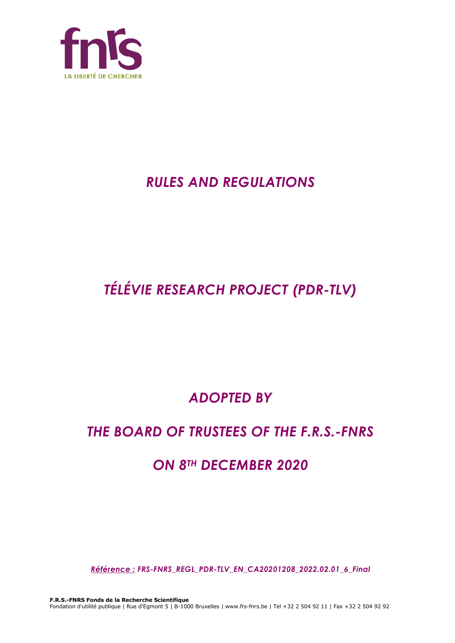

# *RULES AND REGULATIONS*

# *TÉLÉVIE RESEARCH PROJECT (PDR-TLV)*

# *ADOPTED BY*

## *THE BOARD OF TRUSTEES OF THE F.R.S.-FNRS*

## *ON 8TH DECEMBER 2020*

*Référence : FRS-FNRS\_REGL\_PDR-TLV\_EN\_CA20201208\_2022.02.01\_6\_Final*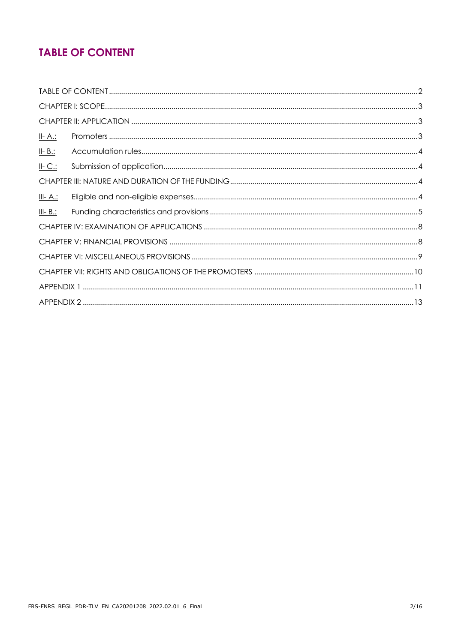## **TABLE OF CONTENT**

| <u>II- A.:</u>  |  |
|-----------------|--|
| $II - B$ .:     |  |
| $II-C.$         |  |
|                 |  |
| <u>III- A.:</u> |  |
| $III - B.$ :    |  |
|                 |  |
|                 |  |
|                 |  |
|                 |  |
|                 |  |
|                 |  |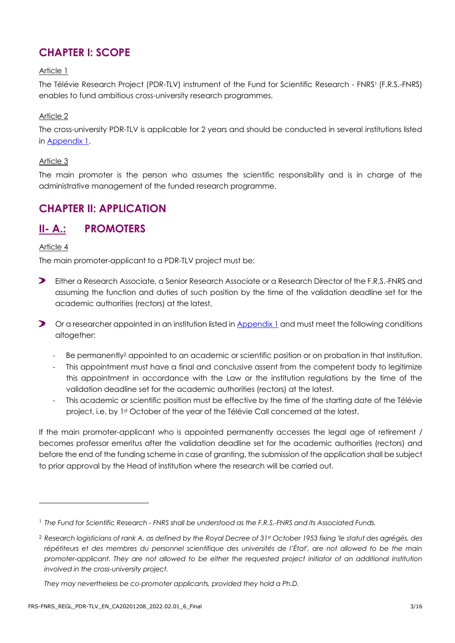## **CHAPTER I: SCOPE**

#### Article 1

The Télévie Research Project (PDR-TLV) instrument of the Fund for Scientific Research - FNRS1 (F.R.S.-FNRS) enables to fund ambitious cross-university research programmes.

#### Article 2

The cross-university PDR-TLV is applicable for 2 years and should be conducted in several institutions listed in [Appendix 1.](#page-10-0)

#### Article 3

The main promoter is the person who assumes the scientific responsibility and is in charge of the administrative management of the funded research programme.

## **CHAPTER II: APPLICATION**

## **II- A.: PROMOTERS**

#### Article 4

The main promoter-applicant to a PDR-TLV project must be:

- $\blacktriangleright$ Either a Research Associate, a Senior Research Associate or a Research Director of the F.R.S.-FNRS and assuming the function and duties of such position by the time of the validation deadline set for the academic authorities (rectors) at the latest,
- **D** Or a researcher appointed in an institution listed in [Appendix 1](#page-10-0) and must meet the following conditions altogether:
	- Be permanently<sup>2</sup> appointed to an academic or scientific position or on probation in that institution.
	- This appointment must have a final and conclusive assent from the competent body to legitimize this appointment in accordance with the Law or the institution regulations by the time of the validation deadline set for the academic authorities (rectors) at the latest.
	- This academic or scientific position must be effective by the time of the starting date of the Télévie project, i.e. by 1st October of the year of the Télévie Call concerned at the latest.

If the main promoter-applicant who is appointed permanently accesses the legal age of retirement / becomes professor emeritus after the validation deadline set for the academic authorities (rectors) and before the end of the funding scheme in case of granting, the submission of the application shall be subject to prior approval by the Head of institution where the research will be carried out.

<sup>1</sup> *The Fund for Scientific Research - FNRS shall be understood as the F.R.S.-FNRS and its Associated Funds.*

<sup>2</sup> *Research logisticians of rank A, as defined by the Royal Decree of 31st October 1953 fixing 'le statut des agrégés, des*  répétiteurs et des membres du personnel scientifique des universités de l'État', are not allowed to be the main *promoter-applicant. They are not allowed to be either the requested project initiator of an additional institution involved in the cross-university project.*

*They may nevertheless be co-promoter applicants, provided they hold a Ph.D.*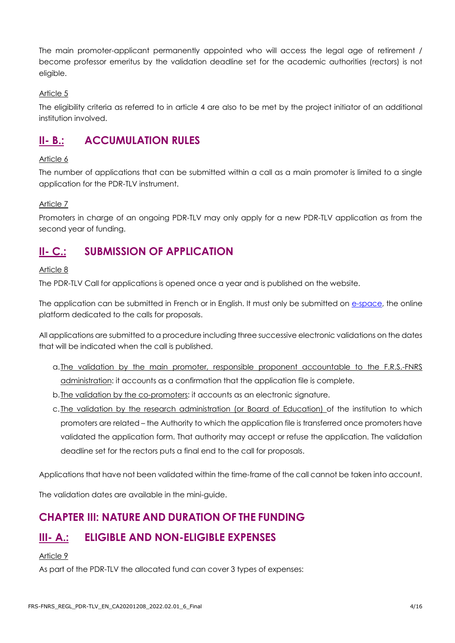The main promoter-applicant permanently appointed who will access the legal age of retirement / become professor emeritus by the validation deadline set for the academic authorities (rectors) is not eligible.

#### Article 5

The eligibility criteria as referred to in article 4 are also to be met by the project initiator of an additional institution involved.

## **II- B.: ACCUMULATION RULES**

#### Article 6

The number of applications that can be submitted within a call as a main promoter is limited to a single application for the PDR-TLV instrument.

#### Article 7

Promoters in charge of an ongoing PDR-TLV may only apply for a new PDR-TLV application as from the second year of funding.

## **II- C.: SUBMISSION OF APPLICATION**

#### Article 8

The PDR-TLV Call for applications is opened once a year and is published on the website.

The application can be submitted in French or in English. It must only be submitted on [e-space,](https://e-space.frs-fnrs.be/) the online platform dedicated to the calls for proposals.

All applications are submitted to a procedure including three successive electronic validations on the dates that will be indicated when the call is published.

- a.The validation by the main promoter, responsible proponent accountable to the F.R.S.-FNRS administration: it accounts as a confirmation that the application file is complete.
- b.The validation by the co-promoters: it accounts as an electronic signature.
- c. The validation by the research administration (or Board of Education) of the institution to which promoters are related – the Authority to which the application file is transferred once promoters have validated the application form. That authority may accept or refuse the application. The validation deadline set for the rectors puts a final end to the call for proposals.

Applications that have not been validated within the time-frame of the call cannot be taken into account.

The validation dates are available in the mini-guide.

### **CHAPTER III: NATURE AND DURATION OF THE FUNDING**

## **III- A.: ELIGIBLE AND NON-ELIGIBLE EXPENSES**

#### Article 9

As part of the PDR-TLV the allocated fund can cover 3 types of expenses: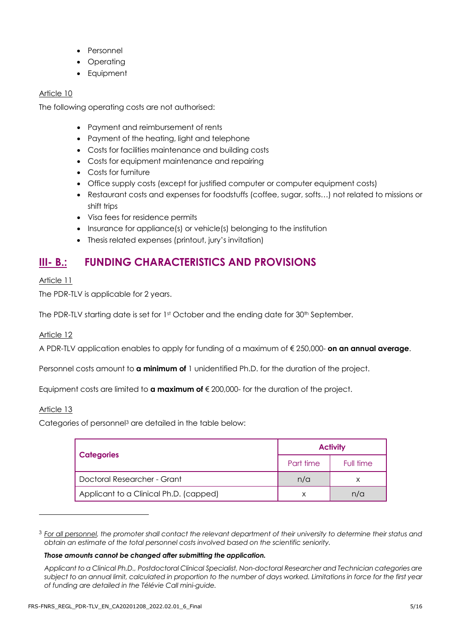- **Personnel**
- **Operating**
- **Equipment**

The following operating costs are not authorised:

- Payment and reimbursement of rents
- Payment of the heating, light and telephone
- Costs for facilities maintenance and building costs
- Costs for equipment maintenance and repairing
- Costs for furniture
- Office supply costs (except for justified computer or computer equipment costs)
- Restaurant costs and expenses for foodstuffs (coffee, sugar, softs…) not related to missions or shift trips
- Visa fees for residence permits
- Insurance for appliance(s) or vehicle(s) belonging to the institution
- Thesis related expenses (printout, jury's invitation)

## **III- B.: FUNDING CHARACTERISTICS AND PROVISIONS**

#### Article 11

The PDR-TLV is applicable for 2 years.

The PDR-TLV starting date is set for 1st October and the ending date for 30<sup>th</sup> September.

#### Article 12

A PDR-TLV application enables to apply for funding of a maximum of € 250,000- **on an annual average**.

Personnel costs amount to **a minimum of** 1 unidentified Ph.D. for the duration of the project.

Equipment costs are limited to **a maximum of** € 200,000- for the duration of the project.

#### Article 13

Categories of personnel<sup>3</sup> are detailed in the table below:

|                                        | <b>Activity</b> |           |
|----------------------------------------|-----------------|-----------|
| <b>Categories</b>                      | Part time       | Full time |
| Doctoral Researcher - Grant            | n/a             | х         |
| Applicant to a Clinical Ph.D. (capped) |                 | n/a       |

<sup>3</sup> *For all personnel, the promoter shall contact the relevant department of their university to determine their status and obtain an estimate of the total personnel costs involved based on the scientific seniority.*

#### *Those amounts cannot be changed after submitting the application.*

*Applicant to a Clinical Ph.D., Postdoctoral Clinical Specialist, Non-doctoral Researcher and Technician categories are subject to an annual limit, calculated in proportion to the number of days worked. Limitations in force for the first year of funding are detailed in the Télévie Call mini-guide.*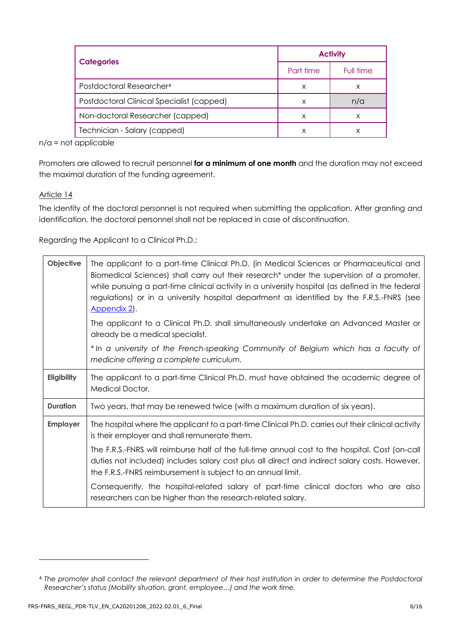| <b>Categories</b>                         | <b>Activity</b> |           |
|-------------------------------------------|-----------------|-----------|
|                                           | Part time       | Full time |
| Postdoctoral Researcher <sup>4</sup>      | X               | Х         |
| Postdoctoral Clinical Specialist (capped) | x               | n/a       |
| Non-doctoral Researcher (capped)          | X               | X         |
| Technician - Salary (capped)              | x               | х         |

n/a = not applicable

Promoters are allowed to recruit personnel **for a minimum of one month** and the duration may not exceed the maximal duration of the funding agreement.

#### Article 14

The identity of the doctoral personnel is not required when submitting the application. After granting and identification, the doctoral personnel shall not be replaced in case of discontinuation.

Regarding the Applicant to a Clinical Ph.D.:

| Objective       | The applicant to a part-time Clinical Ph.D. (in Medical Sciences or Pharmaceutical and<br>Biomedical Sciences) shall carry out their research* under the supervision of a promoter,<br>while pursuing a part-time clinical activity in a university hospital (as defined in the federal<br>regulations) or in a university hospital department as identified by the F.R.S.-FNRS (see<br>Appendix 2. |
|-----------------|-----------------------------------------------------------------------------------------------------------------------------------------------------------------------------------------------------------------------------------------------------------------------------------------------------------------------------------------------------------------------------------------------------|
|                 | The applicant to a Clinical Ph.D. shall simultaneously undertake an Advanced Master or<br>already be a medical specialist.                                                                                                                                                                                                                                                                          |
|                 | *In a university of the French-speaking Community of Belgium which has a faculty of<br>medicine offering a complete curriculum.                                                                                                                                                                                                                                                                     |
| Eligibility     | The applicant to a part-time Clinical Ph.D. must have obtained the academic degree of<br>Medical Doctor.                                                                                                                                                                                                                                                                                            |
| <b>Duration</b> | Two years, that may be renewed twice (with a maximum duration of six years).                                                                                                                                                                                                                                                                                                                        |
| Employer        | The hospital where the applicant to a part-time Clinical Ph.D. carries out their clinical activity<br>is their employer and shall remunerate them.                                                                                                                                                                                                                                                  |
|                 | The F.R.S.-FNRS will reimburse half of the full-time annual cost to the hospital. Cost (on-call<br>duties not included) includes salary cost plus all direct and indirect salary costs. However,<br>the F.R.S.-FNRS reimbursement is subject to an annual limit.                                                                                                                                    |
|                 | Consequently, the hospital-related salary of part-time clinical doctors who are also<br>researchers can be higher than the research-related salary.                                                                                                                                                                                                                                                 |

<sup>4</sup> *The promoter shall contact the relevant department of their host institution in order to determine the Postdoctoral Researcher's status (Mobility situation, grant, employee…) and the work time.*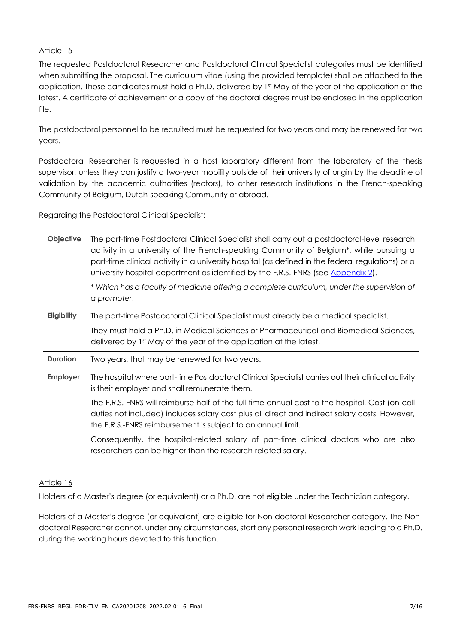The requested Postdoctoral Researcher and Postdoctoral Clinical Specialist categories must be identified when submitting the proposal. The curriculum vitae (using the provided template) shall be attached to the application. Those candidates must hold a Ph.D. delivered by 1st May of the year of the application at the latest. A certificate of achievement or a copy of the doctoral degree must be enclosed in the application file.

The postdoctoral personnel to be recruited must be requested for two years and may be renewed for two years.

Postdoctoral Researcher is requested in a host laboratory different from the laboratory of the thesis supervisor, unless they can justify a two-year mobility outside of their university of origin by the deadline of validation by the academic authorities (rectors), to other research institutions in the French-speaking Community of Belgium, Dutch-speaking Community or abroad.

Regarding the Postdoctoral Clinical Specialist:

| Objective       | The part-time Postdoctoral Clinical Specialist shall carry out a postdoctoral-level research<br>activity in a university of the French-speaking Community of Belgium*, while pursuing a<br>part-time clinical activity in a university hospital (as defined in the federal regulations) or a<br>university hospital department as identified by the F.R.S.-FNRS (see Appendix 2).<br>* Which has a faculty of medicine offering a complete curriculum, under the supervision of<br>a promoter. |
|-----------------|------------------------------------------------------------------------------------------------------------------------------------------------------------------------------------------------------------------------------------------------------------------------------------------------------------------------------------------------------------------------------------------------------------------------------------------------------------------------------------------------|
| Eligibility     | The part-time Postdoctoral Clinical Specialist must already be a medical specialist.                                                                                                                                                                                                                                                                                                                                                                                                           |
|                 | They must hold a Ph.D. in Medical Sciences or Pharmaceutical and Biomedical Sciences,<br>delivered by 1st May of the year of the application at the latest.                                                                                                                                                                                                                                                                                                                                    |
| <b>Duration</b> | Two years, that may be renewed for two years.                                                                                                                                                                                                                                                                                                                                                                                                                                                  |
| <b>Employer</b> | The hospital where part-time Postdoctoral Clinical Specialist carries out their clinical activity<br>is their employer and shall remunerate them.                                                                                                                                                                                                                                                                                                                                              |
|                 | The F.R.S.-FNRS will reimburse half of the full-time annual cost to the hospital. Cost (on-call<br>duties not included) includes salary cost plus all direct and indirect salary costs. However,<br>the F.R.S.-FNRS reimbursement is subject to an annual limit.                                                                                                                                                                                                                               |
|                 | Consequently, the hospital-related salary of part-time clinical doctors who are also<br>researchers can be higher than the research-related salary.                                                                                                                                                                                                                                                                                                                                            |

#### Article 16

Holders of a Master's degree (or equivalent) or a Ph.D. are not eligible under the Technician category.

Holders of a Master's degree (or equivalent) are eligible for Non-doctoral Researcher category. The Nondoctoral Researcher cannot, under any circumstances, start any personal research work leading to a Ph.D. during the working hours devoted to this function.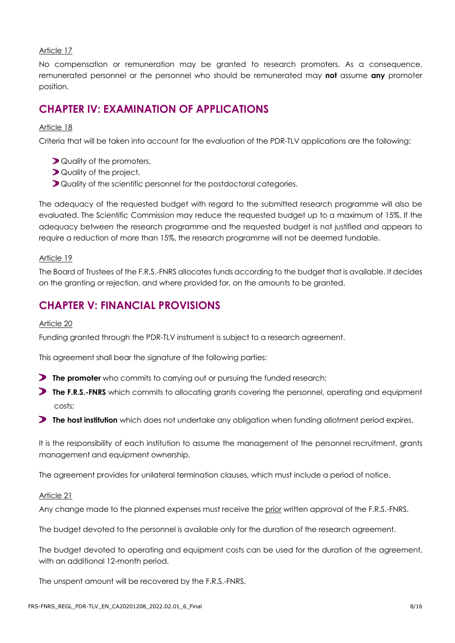No compensation or remuneration may be granted to research promoters. As a consequence, remunerated personnel or the personnel who should be remunerated may **not** assume **any** promoter position.

## **CHAPTER IV: EXAMINATION OF APPLICATIONS**

#### Article 18

Criteria that will be taken into account for the evaluation of the PDR-TLV applications are the following:

- **D** Quality of the promoters,
- **D** Quality of the project,
- **D** Quality of the scientific personnel for the postdoctoral categories.

The adequacy of the requested budget with regard to the submitted research programme will also be evaluated. The Scientific Commission may reduce the requested budget up to a maximum of 15%. If the adequacy between the research programme and the requested budget is not justified and appears to require a reduction of more than 15%, the research programme will not be deemed fundable.

#### Article 19

The Board of Trustees of the F.R.S.-FNRS allocates funds according to the budget that is available. It decides on the granting or rejection, and where provided for, on the amounts to be granted.

## **CHAPTER V: FINANCIAL PROVISIONS**

#### Article 20

Funding granted through the PDR-TLV instrument is subject to a research agreement.

This agreement shall bear the signature of the following parties:

- **The promoter** who commits to carrying out or pursuing the funded research;
- **The F.R.S.-FNRS** which commits to allocating grants covering the personnel, operating and equipment costs;
- **The host institution** which does not undertake any obligation when funding allotment period expires.

It is the responsibility of each institution to assume the management of the personnel recruitment, grants management and equipment ownership.

The agreement provides for unilateral termination clauses, which must include a period of notice.

#### Article 21

Any change made to the planned expenses must receive the prior written approval of the F.R.S.-FNRS.

The budget devoted to the personnel is available only for the duration of the research agreement.

The budget devoted to operating and equipment costs can be used for the duration of the agreement, with an additional 12-month period.

The unspent amount will be recovered by the F.R.S.-FNRS.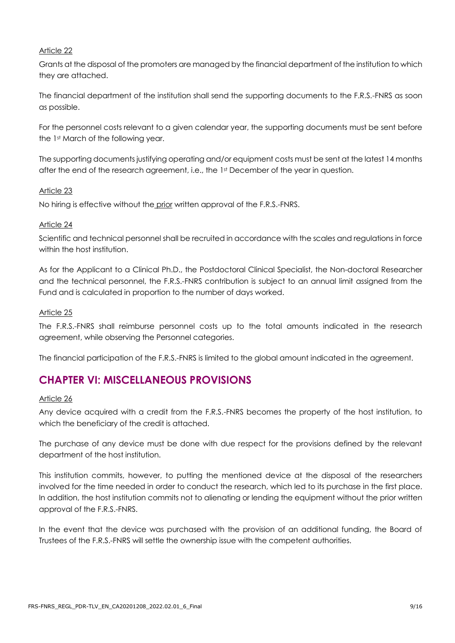Grants at the disposal of the promoters are managed by the financial department of the institution to which they are attached.

The financial department of the institution shall send the supporting documents to the F.R.S.-FNRS as soon as possible.

For the personnel costs relevant to a given calendar year, the supporting documents must be sent before the 1st March of the following year.

The supporting documents justifying operating and/or equipment costs must be sent at the latest 14 months after the end of the research agreement, i.e., the 1st December of the year in question.

#### Article 23

No hiring is effective without the prior written approval of the F.R.S.-FNRS.

#### Article 24

Scientific and technical personnel shall be recruited in accordance with the scales and regulations in force within the host institution.

As for the Applicant to a Clinical Ph.D., the Postdoctoral Clinical Specialist, the Non-doctoral Researcher and the technical personnel, the F.R.S.-FNRS contribution is subject to an annual limit assigned from the Fund and is calculated in proportion to the number of days worked.

#### Article 25

The F.R.S.-FNRS shall reimburse personnel costs up to the total amounts indicated in the research agreement, while observing the Personnel categories.

The financial participation of the F.R.S.-FNRS is limited to the global amount indicated in the agreement.

## **CHAPTER VI: MISCELLANEOUS PROVISIONS**

#### Article 26

Any device acquired with a credit from the F.R.S.-FNRS becomes the property of the host institution, to which the beneficiary of the credit is attached.

The purchase of any device must be done with due respect for the provisions defined by the relevant department of the host institution.

This institution commits, however, to putting the mentioned device at the disposal of the researchers involved for the time needed in order to conduct the research, which led to its purchase in the first place. In addition, the host institution commits not to alienating or lending the equipment without the prior written approval of the F.R.S.-FNRS.

In the event that the device was purchased with the provision of an additional funding, the Board of Trustees of the F.R.S.-FNRS will settle the ownership issue with the competent authorities.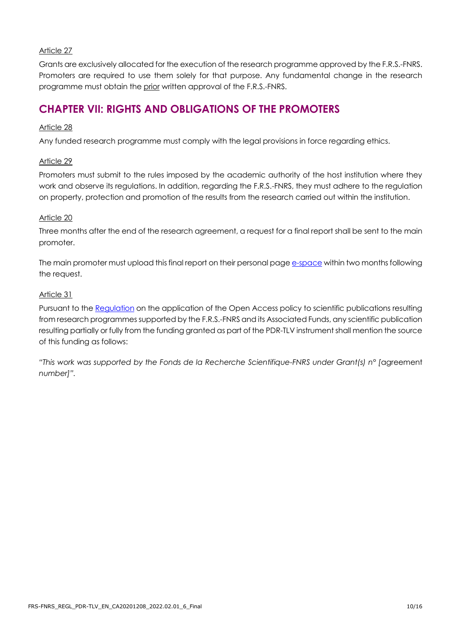Grants are exclusively allocated for the execution of the research programme approved by the F.R.S.-FNRS. Promoters are required to use them solely for that purpose. Any fundamental change in the research programme must obtain the prior written approval of the F.R.S.-FNRS.

## **CHAPTER VII: RIGHTS AND OBLIGATIONS OF THE PROMOTERS**

#### Article 28

Any funded research programme must comply with the legal provisions in force regarding ethics.

#### Article 29

Promoters must submit to the rules imposed by the academic authority of the host institution where they work and observe its regulations. In addition, regarding the F.R.S.-FNRS, they must adhere to the regulation on property, protection and promotion of the results from the research carried out within the institution.

#### Article 20

Three months after the end of the research agreement, a request for a final report shall be sent to the main promoter.

The main promoter must upload this final report on their personal page [e-space](https://e-space.frs-fnrs.be/) within two months following the request.

#### Article 31

Pursuant to the [Regulation](https://www.frs-fnrs.be/docs/Reglement_OPEN_ACCESS_EN.pdf) on the application of the Open Access policy to scientific publications resulting from research programmes supported by the F.R.S.-FNRS and its Associated Funds, any scientific publication resulting partially or fully from the funding granted as part of the PDR-TLV instrument shall mention the source of this funding as follows:

*"This work was supported by the Fonds de la Recherche Scientifique-FNRS under Grant(s) n° [*agreement *number]".*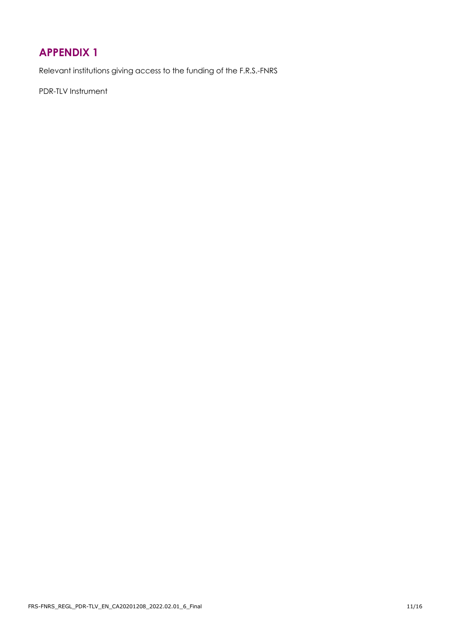## <span id="page-10-0"></span>**APPENDIX 1**

Relevant institutions giving access to the funding of the F.R.S.-FNRS

PDR-TLV Instrument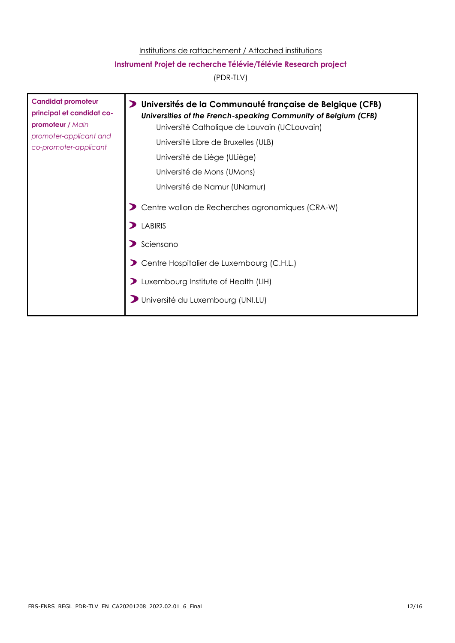#### Institutions de rattachement / Attached institutions

#### **Instrument Projet de recherche Télévie/Télévie Research project**

(PDR-TLV)

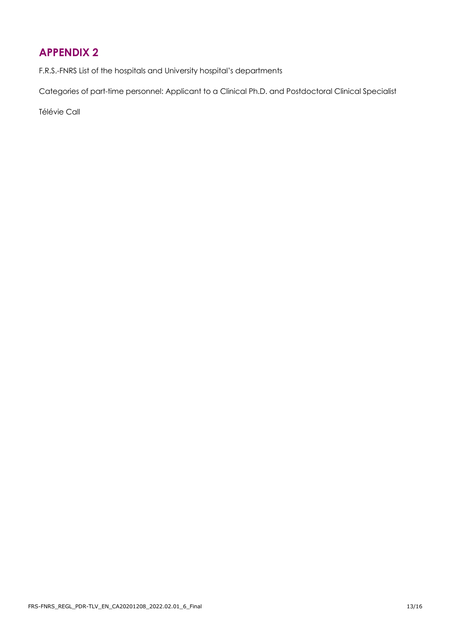## <span id="page-12-0"></span>**APPENDIX 2**

F.R.S.-FNRS List of the hospitals and University hospital's departments

Categories of part-time personnel: Applicant to a Clinical Ph.D. and Postdoctoral Clinical Specialist

Télévie Call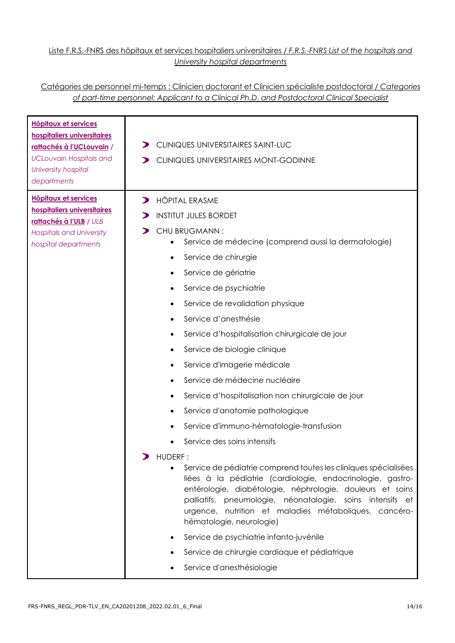#### Liste F.R.S.-FNRS des hôpitaux et services hospitaliers universitaires / *F.R.S.-FNRS List of the hospitals and University hospital departments*

#### Catégories de personnel mi-temps : Clinicien doctorant et Clinicien spécialiste postdoctoral / *Categories of part-time personnel: Applicant to a Clinical Ph.D. and Postdoctoral Clinical Specialist*

| <b>Hôpitaux et services</b><br>hospitaliers universitaires<br>rattachés à l'UCLouvain /<br><b>UCLouvain Hospitals and</b><br>University hospital<br>departments | CLINIQUES UNIVERSITAIRES SAINT-LUC<br>CLINIQUES UNIVERSITAIRES MONT-GODINNE<br>⋗                                                                                                                                                                                                                                                                                                                                                                                                                                                                                                                                                                                                                                                                                                                                                                                                                                                                                                                                                                                                                                                                 |
|-----------------------------------------------------------------------------------------------------------------------------------------------------------------|--------------------------------------------------------------------------------------------------------------------------------------------------------------------------------------------------------------------------------------------------------------------------------------------------------------------------------------------------------------------------------------------------------------------------------------------------------------------------------------------------------------------------------------------------------------------------------------------------------------------------------------------------------------------------------------------------------------------------------------------------------------------------------------------------------------------------------------------------------------------------------------------------------------------------------------------------------------------------------------------------------------------------------------------------------------------------------------------------------------------------------------------------|
| <b>Hôpitaux et services</b><br>hospitaliers universitaires<br>rattachés à l'ULB / ULB<br><b>Hospitals and University</b><br>hospital departments                | <b>HÔPITAL ERASME</b><br>$\blacktriangleright$<br><b>INSTITUT JULES BORDET</b><br>CHU BRUGMANN:<br>Service de médecine (comprend aussi la dermatologie)<br>Service de chirurgie<br>Service de gériatrie<br>Service de psychiatrie<br>٠<br>Service de revalidation physique<br>Service d'anesthésie<br>Service d'hospitalisation chirurgicale de jour<br>٠<br>Service de biologie clinique<br>٠<br>Service d'imagerie médicale<br>Service de médecine nucléaire<br>$\bullet$<br>Service d'hospitalisation non chirurgicale de jour<br>Service d'anatomie pathologique<br>Service d'immuno-hématologie-transfusion<br>Service des soins intensifs<br>HUDERF:<br>Service de pédiatrie comprend toutes les cliniques spécialisées<br>$\bullet$<br>liées à la pédiatrie (cardiologie, endocrinologie, gastro-<br>entérologie, diabétologie, néphrologie, douleurs et soins<br>palliatifs, pneumologie, néonatalogie, soins intensifs et<br>urgence, nutrition et maladies métaboliques, cancéro-<br>hématologie, neurologie)<br>Service de psychiatrie infanto-juvénile<br>Service de chirurgie cardiaque et pédiatrique<br>Service d'anesthésiologie |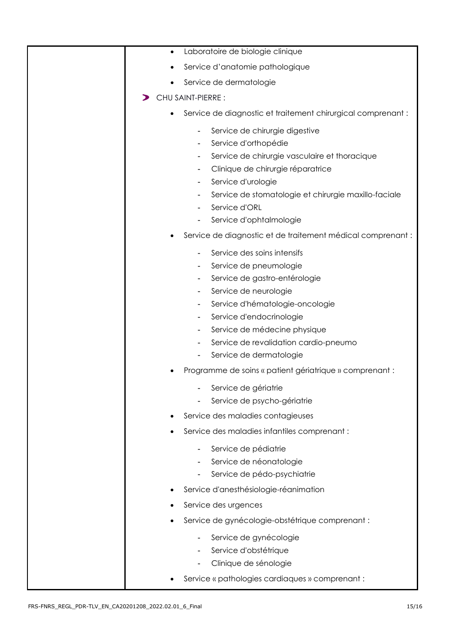| Laboratoire de biologie clinique<br>$\bullet$                                                                                                                                                                                                                                                                                                                                                                                                      |
|----------------------------------------------------------------------------------------------------------------------------------------------------------------------------------------------------------------------------------------------------------------------------------------------------------------------------------------------------------------------------------------------------------------------------------------------------|
| Service d'anatomie pathologique                                                                                                                                                                                                                                                                                                                                                                                                                    |
| Service de dermatologie                                                                                                                                                                                                                                                                                                                                                                                                                            |
| CHU SAINT-PIERRE :                                                                                                                                                                                                                                                                                                                                                                                                                                 |
| Service de diagnostic et traitement chirurgical comprenant :<br>$\bullet$                                                                                                                                                                                                                                                                                                                                                                          |
| Service de chirurgie digestive<br>$\overline{\phantom{a}}$<br>Service d'orthopédie<br>Service de chirurgie vasculaire et thoracique<br>Clinique de chirurgie réparatrice<br>Service d'urologie<br>Service de stomatologie et chirurgie maxillo-faciale<br>$\overline{\phantom{a}}$<br>Service d'ORL<br>Service d'ophtalmologie                                                                                                                     |
| Service de diagnostic et de traitement médical comprenant :                                                                                                                                                                                                                                                                                                                                                                                        |
| Service des soins intensifs<br>Service de pneumologie<br>Service de gastro-entérologie<br>Service de neurologie<br>Service d'hématologie-oncologie<br>Service d'endocrinologie<br>$\overline{\phantom{a}}$<br>Service de médecine physique<br>$\blacksquare$<br>Service de revalidation cardio-pneumo<br>Service de dermatologie<br>Programme de soins « patient gériatrique » comprenant :<br>Service de gériatrie<br>Service de psycho-gériatrie |
| Service des maladies contagieuses                                                                                                                                                                                                                                                                                                                                                                                                                  |
| Service des maladies infantiles comprenant :                                                                                                                                                                                                                                                                                                                                                                                                       |
| Service de pédiatrie<br>Service de néonatologie<br>Service de pédo-psychiatrie<br>Service d'anesthésiologie-réanimation                                                                                                                                                                                                                                                                                                                            |
| Service des urgences                                                                                                                                                                                                                                                                                                                                                                                                                               |
| Service de gynécologie-obstétrique comprenant :                                                                                                                                                                                                                                                                                                                                                                                                    |
|                                                                                                                                                                                                                                                                                                                                                                                                                                                    |
| Service de gynécologie<br>Service d'obstétrique<br>Clinique de sénologie<br>Service « pathologies cardiaques » comprenant :                                                                                                                                                                                                                                                                                                                        |